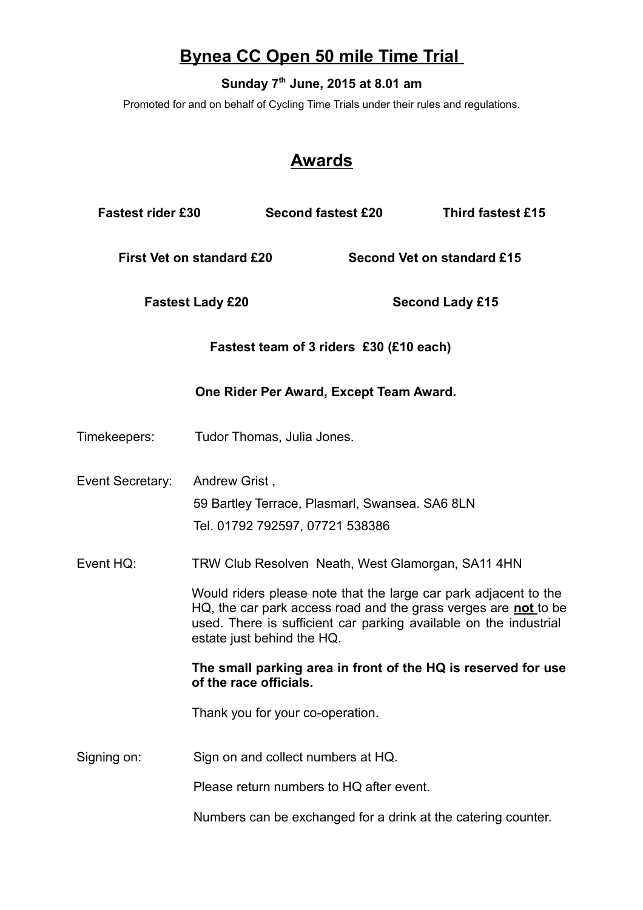## **Bynea CC Open 50 mile Time Trial**

## **Sunday 7th June, 2015 at 8.01 am**

Promoted for and on behalf of Cycling Time Trials under their rules and regulations.

## **Awards**

| <b>Fastest rider £30</b> |                                                     | <b>Second fastest £20</b>                                                         | <b>Third fastest £15</b>                                                                                                                                                                                                                                                                                                       |  |
|--------------------------|-----------------------------------------------------|-----------------------------------------------------------------------------------|--------------------------------------------------------------------------------------------------------------------------------------------------------------------------------------------------------------------------------------------------------------------------------------------------------------------------------|--|
|                          | <b>First Vet on standard £20</b>                    | Second Vet on standard £15                                                        |                                                                                                                                                                                                                                                                                                                                |  |
| <b>Fastest Lady £20</b>  |                                                     |                                                                                   | <b>Second Lady £15</b>                                                                                                                                                                                                                                                                                                         |  |
|                          |                                                     | Fastest team of 3 riders £30 (£10 each)                                           |                                                                                                                                                                                                                                                                                                                                |  |
|                          |                                                     | One Rider Per Award, Except Team Award.                                           |                                                                                                                                                                                                                                                                                                                                |  |
| Timekeepers:             | Tudor Thomas, Julia Jones.                          |                                                                                   |                                                                                                                                                                                                                                                                                                                                |  |
| Event Secretary:         | Andrew Grist,                                       | 59 Bartley Terrace, Plasmarl, Swansea. SA6 8LN<br>Tel. 01792 792597, 07721 538386 |                                                                                                                                                                                                                                                                                                                                |  |
| Event HQ:                | estate just behind the HQ.<br>of the race officials | Thank you for your co-operation.                                                  | TRW Club Resolven Neath, West Glamorgan, SA11 4HN<br>Would riders please note that the large car park adjacent to the<br>HQ, the car park access road and the grass verges are not to be<br>used. There is sufficient car parking available on the industrial<br>The small parking area in front of the HQ is reserved for use |  |
| Signing on:              |                                                     | Sign on and collect numbers at HQ.<br>Please return numbers to HQ after event.    |                                                                                                                                                                                                                                                                                                                                |  |

Numbers can be exchanged for a drink at the catering counter.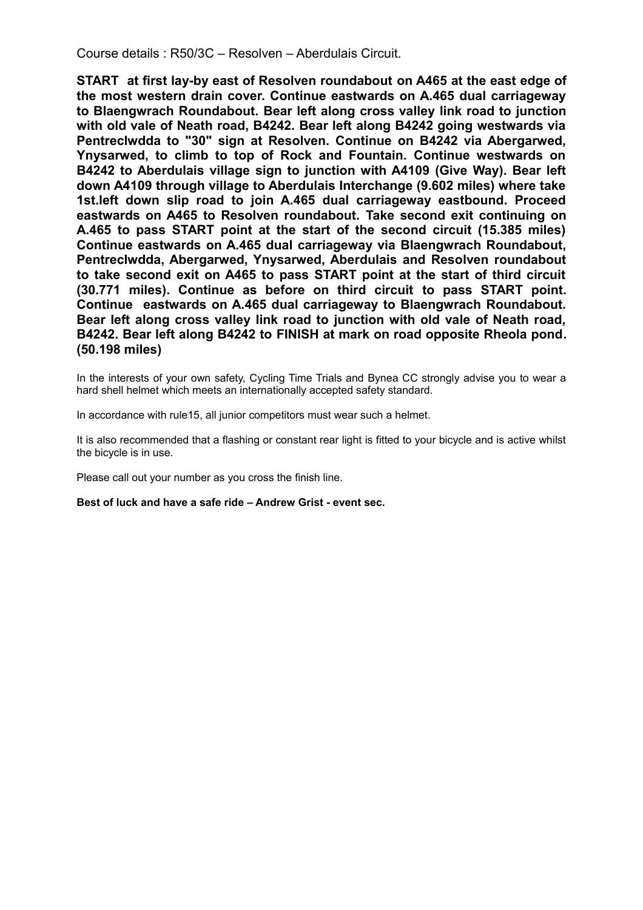Course details : R50/3C – Resolven – Aberdulais Circuit.

**START at first lay-by east of Resolven roundabout on A465 at the east edge of the most western drain cover. Continue eastwards on A.465 dual carriageway to Blaengwrach Roundabout. Bear left along cross valley link road to junction with old vale of Neath road, B4242. Bear left along B4242 going westwards via Pentreclwdda to "30" sign at Resolven. Continue on B4242 via Abergarwed, Ynysarwed, to climb to top of Rock and Fountain. Continue westwards on B4242 to Aberdulais village sign to junction with A4109 (Give Way). Bear left down A4109 through village to Aberdulais Interchange (9.602 miles) where take 1st.left down slip road to join A.465 dual carriageway eastbound. Proceed eastwards on A465 to Resolven roundabout. Take second exit continuing on A.465 to pass START point at the start of the second circuit (15.385 miles) Continue eastwards on A.465 dual carriageway via Blaengwrach Roundabout, Pentreclwdda, Abergarwed, Ynysarwed, Aberdulais and Resolven roundabout to take second exit on A465 to pass START point at the start of third circuit (30.771 miles). Continue as before on third circuit to pass START point. Continue eastwards on A.465 dual carriageway to Blaengwrach Roundabout. Bear left along cross valley link road to junction with old vale of Neath road, B4242. Bear left along B4242 to FINISH at mark on road opposite Rheola pond. (50.198 miles)**

In the interests of your own safety, Cycling Time Trials and Bynea CC strongly advise you to wear a hard shell helmet which meets an internationally accepted safety standard.

In accordance with rule15, all junior competitors must wear such a helmet.

It is also recommended that a flashing or constant rear light is fitted to your bicycle and is active whilst the bicycle is in use.

Please call out your number as you cross the finish line.

**Best of luck and have a safe ride – Andrew Grist - event sec.**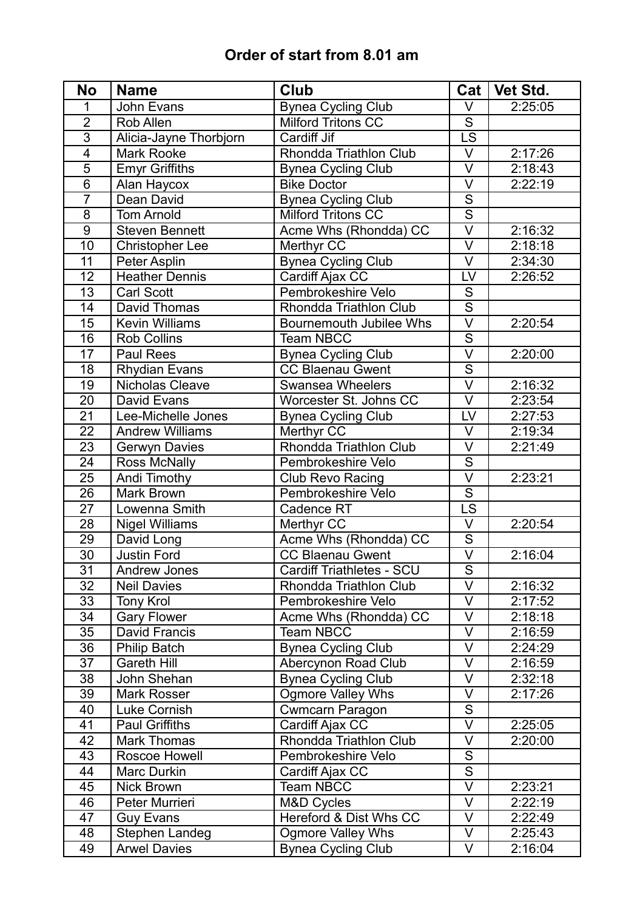## **Order of start from 8.01 am**

| <b>No</b>       | <b>Name</b>            | Club                           |                         | Cat   Vet Std. |
|-----------------|------------------------|--------------------------------|-------------------------|----------------|
| 1               | John Evans             | <b>Bynea Cycling Club</b>      | V                       | 2:25:05        |
| $\overline{2}$  | Rob Allen              | Milford Tritons CC             | S                       |                |
| $\overline{3}$  | Alicia-Jayne Thorbjorn | Cardiff Jif                    | $\overline{\text{LS}}$  |                |
| $\overline{4}$  | <b>Mark Rooke</b>      | Rhondda Triathlon Club         | $\vee$                  | 2:17:26        |
| 5               | <b>Emyr Griffiths</b>  | <b>Bynea Cycling Club</b>      | $\vee$                  | 2:18:43        |
| $\overline{6}$  | Alan Haycox            | <b>Bike Doctor</b>             | $\vee$                  | 2:22:19        |
| $\overline{7}$  | Dean David             | <b>Bynea Cycling Club</b>      | $\overline{\mathsf{s}}$ |                |
| $\overline{8}$  | <b>Tom Arnold</b>      | <b>Milford Tritons CC</b>      | $\overline{\mathsf{s}}$ |                |
| $\overline{9}$  | <b>Steven Bennett</b>  | Acme Whs (Rhondda) CC          | $\overline{\mathsf{V}}$ | 2:16:32        |
| 10              | <b>Christopher Lee</b> | Merthyr CC                     | $\overline{\mathsf{V}}$ | 2:18:18        |
| 11              | Peter Asplin           | <b>Bynea Cycling Club</b>      | $\overline{\mathsf{V}}$ | 2:34:30        |
| 12              | <b>Heather Dennis</b>  | Cardiff Ajax CC                | LV                      | 2:26:52        |
| 13              | <b>Carl Scott</b>      | Pembrokeshire Velo             | $\overline{S}$          |                |
| 14              | David Thomas           | Rhondda Triathlon Club         | $\overline{\mathsf{s}}$ |                |
| 15              | <b>Kevin Williams</b>  | <b>Bournemouth Jubilee Whs</b> | $\vee$                  | 2:20:54        |
| 16              | <b>Rob Collins</b>     | <b>Team NBCC</b>               | $\overline{\mathsf{s}}$ |                |
| 17              | <b>Paul Rees</b>       | <b>Bynea Cycling Club</b>      | $\overline{\mathsf{V}}$ | 2:20:00        |
| 18              | Rhydian Evans          | <b>CC Blaenau Gwent</b>        | $\overline{S}$          |                |
| 19              | Nicholas Cleave        | <b>Swansea Wheelers</b>        | $\overline{\mathsf{V}}$ | 2:16:32        |
| $\overline{20}$ | David Evans            | Worcester St. Johns CC         | $\vee$                  | 2:23:54        |
| $\overline{21}$ | Lee-Michelle Jones     | <b>Bynea Cycling Club</b>      | LV                      | 2:27:53        |
| $\overline{22}$ | <b>Andrew Williams</b> | Merthyr CC                     | $\vee$                  | 2:19:34        |
| $\overline{23}$ | Gerwyn Davies          | Rhondda Triathlon Club         | $\overline{\vee}$       | 2:21:49        |
| $\overline{24}$ | <b>Ross McNally</b>    | Pembrokeshire Velo             | $\overline{S}$          |                |
| 25              | Andi Timothy           | Club Revo Racing               | $\overline{\vee}$       | 2:23:21        |
| 26              | <b>Mark Brown</b>      | Pembrokeshire Velo             | $\overline{S}$          |                |
| $\overline{27}$ | Lowenna Smith          | <b>Cadence RT</b>              | $\overline{\text{LS}}$  |                |
| 28              | <b>Nigel Williams</b>  | Merthyr CC                     | $\vee$                  | 2:20:54        |
| $\overline{29}$ | David Long             | Acme Whs (Rhondda) CC          | $\overline{\mathsf{S}}$ |                |
| $\overline{30}$ | <b>Justin Ford</b>     | <b>CC Blaenau Gwent</b>        | $\overline{\vee}$       | 2:16:04        |
| 31              | <b>Andrew Jones</b>    | Cardiff Triathletes - SCU      | ${\mathsf S}$           |                |
| 32              | <b>Neil Davies</b>     | Rhondda Triathlon Club         | $\overline{\mathsf{V}}$ | 2:16:32        |
| 33              | <b>Tony Krol</b>       | Pembrokeshire Velo             | $\vee$                  | 2:17:52        |
| 34              | <b>Gary Flower</b>     | Acme Whs (Rhondda) CC          | $\vee$                  | 2:18:18        |
| 35              | David Francis          | <b>Team NBCC</b>               | V                       | 2:16:59        |
| 36              | <b>Philip Batch</b>    | <b>Bynea Cycling Club</b>      | $\vee$                  | 2:24:29        |
| 37              | Gareth Hill            | Abercynon Road Club            | V                       | 2:16:59        |
| 38              | John Shehan            | <b>Bynea Cycling Club</b>      | $\vee$                  | 2:32:18        |
| 39              | Mark Rosser            | <b>Ogmore Valley Whs</b>       | $\vee$                  | 2:17:26        |
| 40              | Luke Cornish           | <b>Cwmcarn Paragon</b>         | ${\mathsf S}$           |                |
| 41              | Paul Griffiths         | Cardiff Ajax CC                | V                       | 2:25:05        |
| 42              | <b>Mark Thomas</b>     | Rhondda Triathlon Club         | $\vee$                  | 2:20:00        |
| 43              | Roscoe Howell          | Pembrokeshire Velo             | ${\mathsf S}$           |                |
| 44              | Marc Durkin            | Cardiff Ajax CC                | $\overline{S}$          |                |
| 45              | Nick Brown             | <b>Team NBCC</b>               | $\overline{\mathsf{V}}$ | 2:23:21        |
| 46              | Peter Murrieri         | M&D Cycles                     | $\vee$                  | 2:22:19        |
| 47              | <b>Guy Evans</b>       | Hereford & Dist Whs CC         | $\vee$                  | 2:22:49        |
| 48              | Stephen Landeg         | <b>Ogmore Valley Whs</b>       | V                       | 2:25:43        |
| 49              | <b>Arwel Davies</b>    | <b>Bynea Cycling Club</b>      | V                       | 2:16:04        |